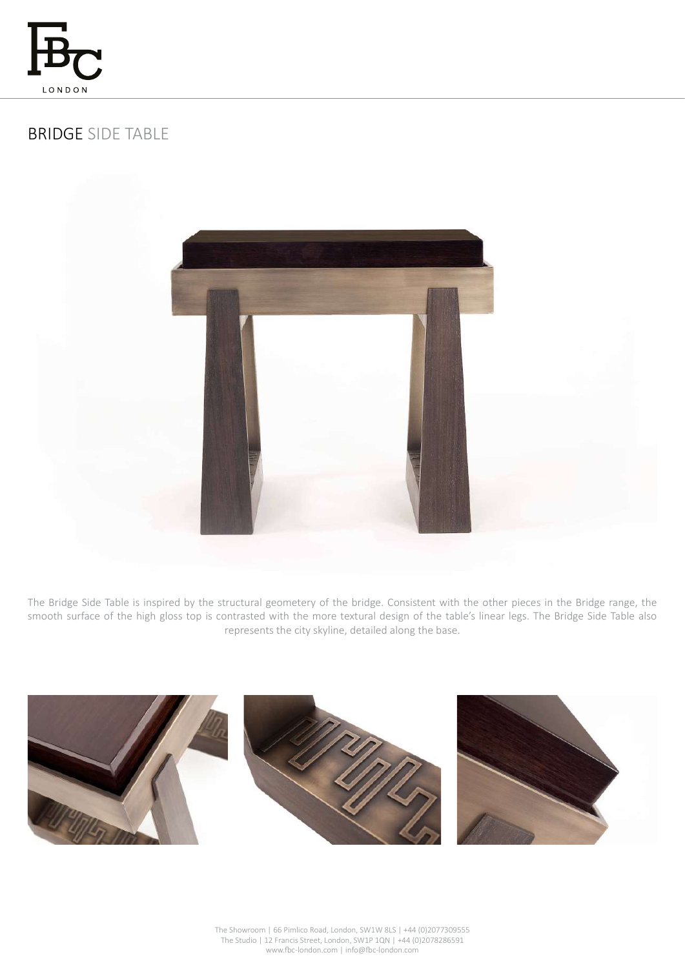

# BRIDGE SIDE TABLE



The Bridge Side Table is inspired by the structural geometery of the bridge. Consistent with the other pieces in the Bridge range, the smooth surface of the high gloss top is contrasted with the more textural design of the table's linear legs. The Bridge Side Table also represents the city skyline, detailed along the base.